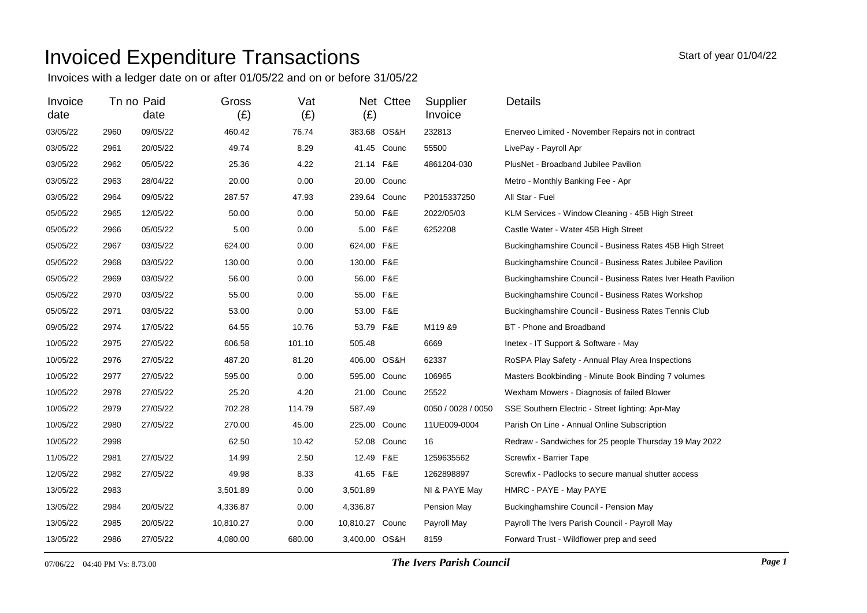## Invoiced Expenditure Transactions

Invoices with a ledger date on or after 01/05/22 and on or before 31/05/22

| Invoice<br>date |      | Tn no Paid<br>date | Gross<br>(E) | Vat<br>(E) | (E)             | Net Cttee   | Supplier<br>Invoice | Details                                                      |
|-----------------|------|--------------------|--------------|------------|-----------------|-------------|---------------------|--------------------------------------------------------------|
| 03/05/22        | 2960 | 09/05/22           | 460.42       | 76.74      | 383.68 OS&H     |             | 232813              | Enerveo Limited - November Repairs not in contract           |
| 03/05/22        | 2961 | 20/05/22           | 49.74        | 8.29       |                 | 41.45 Counc | 55500               | LivePay - Payroll Apr                                        |
| 03/05/22        | 2962 | 05/05/22           | 25.36        | 4.22       | 21.14 F&E       |             | 4861204-030         | PlusNet - Broadband Jubilee Pavilion                         |
| 03/05/22        | 2963 | 28/04/22           | 20.00        | 0.00       |                 | 20.00 Counc |                     | Metro - Monthly Banking Fee - Apr                            |
| 03/05/22        | 2964 | 09/05/22           | 287.57       | 47.93      | 239.64 Counc    |             | P2015337250         | All Star - Fuel                                              |
| 05/05/22        | 2965 | 12/05/22           | 50.00        | 0.00       | 50.00 F&E       |             | 2022/05/03          | KLM Services - Window Cleaning - 45B High Street             |
| 05/05/22        | 2966 | 05/05/22           | 5.00         | 0.00       | 5.00 F&E        |             | 6252208             | Castle Water - Water 45B High Street                         |
| 05/05/22        | 2967 | 03/05/22           | 624.00       | 0.00       | 624.00 F&E      |             |                     | Buckinghamshire Council - Business Rates 45B High Street     |
| 05/05/22        | 2968 | 03/05/22           | 130.00       | 0.00       | 130.00 F&E      |             |                     | Buckinghamshire Council - Business Rates Jubilee Pavilion    |
| 05/05/22        | 2969 | 03/05/22           | 56.00        | 0.00       | 56.00 F&E       |             |                     | Buckinghamshire Council - Business Rates Iver Heath Pavilion |
| 05/05/22        | 2970 | 03/05/22           | 55.00        | 0.00       | 55.00 F&E       |             |                     | Buckinghamshire Council - Business Rates Workshop            |
| 05/05/22        | 2971 | 03/05/22           | 53.00        | 0.00       | 53.00 F&E       |             |                     | Buckinghamshire Council - Business Rates Tennis Club         |
| 09/05/22        | 2974 | 17/05/22           | 64.55        | 10.76      | 53.79 F&E       |             | M119 &9             | BT - Phone and Broadband                                     |
| 10/05/22        | 2975 | 27/05/22           | 606.58       | 101.10     | 505.48          |             | 6669                | Inetex - IT Support & Software - May                         |
| 10/05/22        | 2976 | 27/05/22           | 487.20       | 81.20      | 406.00 OS&H     |             | 62337               | RoSPA Play Safety - Annual Play Area Inspections             |
| 10/05/22        | 2977 | 27/05/22           | 595.00       | 0.00       | 595.00 Counc    |             | 106965              | Masters Bookbinding - Minute Book Binding 7 volumes          |
| 10/05/22        | 2978 | 27/05/22           | 25.20        | 4.20       |                 | 21.00 Counc | 25522               | Wexham Mowers - Diagnosis of failed Blower                   |
| 10/05/22        | 2979 | 27/05/22           | 702.28       | 114.79     | 587.49          |             | 0050 / 0028 / 0050  | SSE Southern Electric - Street lighting: Apr-May             |
| 10/05/22        | 2980 | 27/05/22           | 270.00       | 45.00      | 225.00 Counc    |             | 11UE009-0004        | Parish On Line - Annual Online Subscription                  |
| 10/05/22        | 2998 |                    | 62.50        | 10.42      |                 | 52.08 Counc | 16                  | Redraw - Sandwiches for 25 people Thursday 19 May 2022       |
| 11/05/22        | 2981 | 27/05/22           | 14.99        | 2.50       | 12.49 F&E       |             | 1259635562          | Screwfix - Barrier Tape                                      |
| 12/05/22        | 2982 | 27/05/22           | 49.98        | 8.33       | 41.65 F&E       |             | 1262898897          | Screwfix - Padlocks to secure manual shutter access          |
| 13/05/22        | 2983 |                    | 3,501.89     | 0.00       | 3,501.89        |             | NI & PAYE May       | HMRC - PAYE - May PAYE                                       |
| 13/05/22        | 2984 | 20/05/22           | 4,336.87     | 0.00       | 4,336.87        |             | Pension May         | Buckinghamshire Council - Pension May                        |
| 13/05/22        | 2985 | 20/05/22           | 10,810.27    | 0.00       | 10,810.27 Counc |             | Payroll May         | Payroll The Ivers Parish Council - Payroll May               |
| 13/05/22        | 2986 | 27/05/22           | 4,080.00     | 680.00     | 3,400.00 OS&H   |             | 8159                | Forward Trust - Wildflower prep and seed                     |